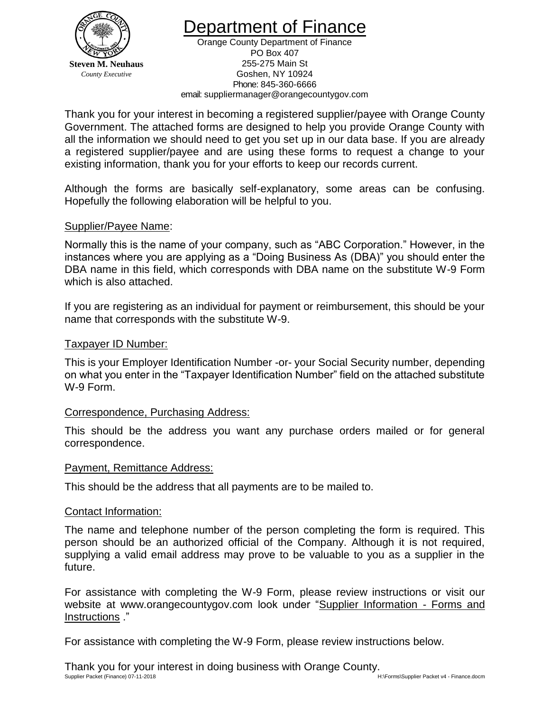

## epartment of Finance

Orange County Department of Finance PO Box 407 255-275 Main St Goshen, NY 10924 Phone: 845-360-6666 email: suppliermanager@orangecountygov.com

Thank you for your interest in becoming a registered supplier/payee with Orange County Government. The attached forms are designed to help you provide Orange County with all the information we should need to get you set up in our data base. If you are already a registered supplier/payee and are using these forms to request a change to your existing information, thank you for your efforts to keep our records current.

Although the forms are basically self-explanatory, some areas can be confusing. Hopefully the following elaboration will be helpful to you.

#### Supplier/Payee Name:

Normally this is the name of your company, such as "ABC Corporation." However, in the instances where you are applying as a "Doing Business As (DBA)" you should enter the DBA name in this field, which corresponds with DBA name on the substitute W-9 Form which is also attached.

If you are registering as an individual for payment or reimbursement, this should be your name that corresponds with the substitute W-9.

#### Taxpayer ID Number:

This is your Employer Identification Number -or- your Social Security number, depending on what you enter in the "Taxpayer Identification Number" field on the attached substitute W-9 Form.

#### Correspondence, Purchasing Address:

This should be the address you want any purchase orders mailed or for general correspondence.

#### Payment, Remittance Address:

This should be the address that all payments are to be mailed to.

#### Contact Information:

The name and telephone number of the person completing the form is required. This person should be an authorized official of the Company. Although it is not required, supplying a valid email address may prove to be valuable to you as a supplier in the future.

For assistance with completing the W-9 Form, please review instructions or visit our w[ebsite at www.orangecountygov.com](http://www.orangecountygov.com/purchasing) look under ["Supplier Information -](http://www.orangecountygov.com/orgMain.asp?storyID=4392&sid=) Forms and [Instructions](http://www.orangecountygov.com/orgMain.asp?storyID=4392&sid=) ."

For assistance with completing the W-9 Form, please review instructions below.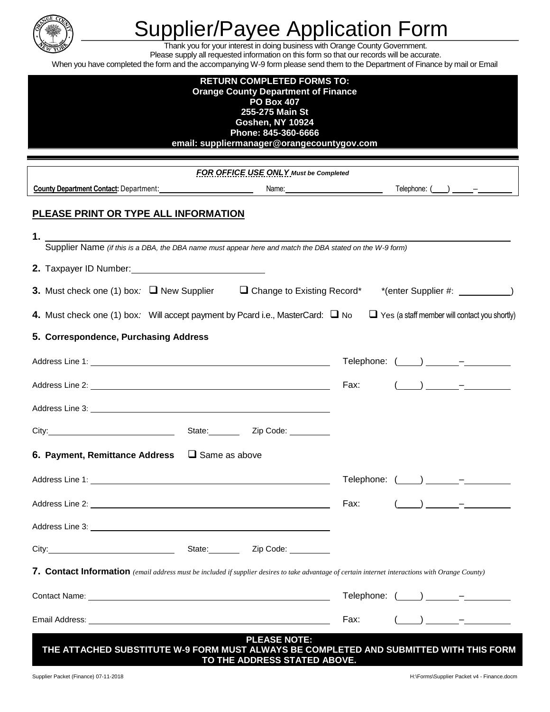

# Supplier/Payee Application Form

Thank you for your interest in doing business with Orange County Government.

Please supply all requested information on this form so that our records will be accurate.

| When you have completed the form and the accompanying W-9 form please send them to the Department of Finance by mail or Email |  |
|-------------------------------------------------------------------------------------------------------------------------------|--|
|-------------------------------------------------------------------------------------------------------------------------------|--|

| <b>RETURN COMPLETED FORMS TO:</b><br><b>Orange County Department of Finance</b><br><b>PO Box 407</b><br>255-275 Main St<br><b>Goshen, NY 10924</b><br>Phone: 845-360-6666<br>email: suppliermanager@orangecountygov.com                                                                                                |                                                                                                          |                                                                                                                                                                                                                                |                                                                                                                                                                                                                                                                                                                                                                                                                                                                                                                                                                             |  |
|------------------------------------------------------------------------------------------------------------------------------------------------------------------------------------------------------------------------------------------------------------------------------------------------------------------------|----------------------------------------------------------------------------------------------------------|--------------------------------------------------------------------------------------------------------------------------------------------------------------------------------------------------------------------------------|-----------------------------------------------------------------------------------------------------------------------------------------------------------------------------------------------------------------------------------------------------------------------------------------------------------------------------------------------------------------------------------------------------------------------------------------------------------------------------------------------------------------------------------------------------------------------------|--|
|                                                                                                                                                                                                                                                                                                                        | <b>FOR OFFICE USE ONLY Must be Completed</b>                                                             |                                                                                                                                                                                                                                |                                                                                                                                                                                                                                                                                                                                                                                                                                                                                                                                                                             |  |
|                                                                                                                                                                                                                                                                                                                        |                                                                                                          |                                                                                                                                                                                                                                |                                                                                                                                                                                                                                                                                                                                                                                                                                                                                                                                                                             |  |
| PLEASE PRINT OR TYPE ALL INFORMATION                                                                                                                                                                                                                                                                                   |                                                                                                          |                                                                                                                                                                                                                                |                                                                                                                                                                                                                                                                                                                                                                                                                                                                                                                                                                             |  |
| 1. $\frac{1}{2}$ $\frac{1}{2}$ $\frac{1}{2}$ $\frac{1}{2}$ $\frac{1}{2}$ $\frac{1}{2}$ $\frac{1}{2}$ $\frac{1}{2}$ $\frac{1}{2}$ $\frac{1}{2}$ $\frac{1}{2}$ $\frac{1}{2}$ $\frac{1}{2}$ $\frac{1}{2}$ $\frac{1}{2}$ $\frac{1}{2}$ $\frac{1}{2}$ $\frac{1}{2}$ $\frac{1}{2}$ $\frac{1}{2}$ $\frac{1}{2}$ $\frac{1}{2}$ |                                                                                                          |                                                                                                                                                                                                                                |                                                                                                                                                                                                                                                                                                                                                                                                                                                                                                                                                                             |  |
|                                                                                                                                                                                                                                                                                                                        | Supplier Name (if this is a DBA, the DBA name must appear here and match the DBA stated on the W-9 form) |                                                                                                                                                                                                                                |                                                                                                                                                                                                                                                                                                                                                                                                                                                                                                                                                                             |  |
|                                                                                                                                                                                                                                                                                                                        |                                                                                                          |                                                                                                                                                                                                                                |                                                                                                                                                                                                                                                                                                                                                                                                                                                                                                                                                                             |  |
| <b>3.</b> Must check one (1) box: $\Box$ New Supplier $\Box$ Change to Existing Record*                                                                                                                                                                                                                                |                                                                                                          |                                                                                                                                                                                                                                | *(enter Supplier #: $\rule{1em}{0.15mm}$ = $\rule{1.5mm}{0.15mm}$ )                                                                                                                                                                                                                                                                                                                                                                                                                                                                                                         |  |
| 4. Must check one (1) box: Will accept payment by Pcard i.e., MasterCard: $\Box$ No                                                                                                                                                                                                                                    |                                                                                                          |                                                                                                                                                                                                                                | $\Box$ Yes (a staff member will contact you shortly)                                                                                                                                                                                                                                                                                                                                                                                                                                                                                                                        |  |
| 5. Correspondence, Purchasing Address                                                                                                                                                                                                                                                                                  |                                                                                                          |                                                                                                                                                                                                                                |                                                                                                                                                                                                                                                                                                                                                                                                                                                                                                                                                                             |  |
|                                                                                                                                                                                                                                                                                                                        |                                                                                                          |                                                                                                                                                                                                                                |                                                                                                                                                                                                                                                                                                                                                                                                                                                                                                                                                                             |  |
|                                                                                                                                                                                                                                                                                                                        |                                                                                                          | Fax: The Second Second Second Second Second Second Second Second Second Second Second Second Second Second Second Second Second Second Second Second Second Second Second Second Second Second Second Second Second Second Sec | $\begin{array}{ccc} \hline \end{array}$                                                                                                                                                                                                                                                                                                                                                                                                                                                                                                                                     |  |
|                                                                                                                                                                                                                                                                                                                        |                                                                                                          |                                                                                                                                                                                                                                |                                                                                                                                                                                                                                                                                                                                                                                                                                                                                                                                                                             |  |
| City: City: 2ip Code: 21 City: 2ip Code: 21 City: 21 Code: 21 Code: 21 Code: 21 Code: 21 Code: 21 Code: 21 Code                                                                                                                                                                                                        |                                                                                                          |                                                                                                                                                                                                                                |                                                                                                                                                                                                                                                                                                                                                                                                                                                                                                                                                                             |  |
| 6. Payment, Remittance Address                                                                                                                                                                                                                                                                                         | $\Box$ Same as above                                                                                     |                                                                                                                                                                                                                                |                                                                                                                                                                                                                                                                                                                                                                                                                                                                                                                                                                             |  |
|                                                                                                                                                                                                                                                                                                                        |                                                                                                          |                                                                                                                                                                                                                                | Telephone: $(\_\_\_) \_\_\_\_$                                                                                                                                                                                                                                                                                                                                                                                                                                                                                                                                              |  |
|                                                                                                                                                                                                                                                                                                                        |                                                                                                          | Fax:                                                                                                                                                                                                                           | $\begin{array}{ccc} \begin{array}{ccc} \hline \end{array} & \begin{array}{ccc} \hline \end{array} & \begin{array}{ccc} \hline \end{array} & \begin{array}{ccc} \hline \end{array} & \begin{array}{ccc} \hline \end{array} & \begin{array}{ccc} \hline \end{array} & \begin{array}{ccc} \hline \end{array} & \begin{array}{ccc} \hline \end{array} & \begin{array}{ccc} \hline \end{array} & \begin{array}{ccc} \hline \end{array} & \begin{array}{ccc} \hline \end{array} & \begin{array}{ccc} \hline \end{array} & \begin{array}{ccc} \hline \end{array} & \begin{array}{$ |  |
| Address Line 3: <u>Address Line 3:</u> Address Line 3: Address Line 3: Address Line 3: Address Line 3: Address Line 3: Address Line 3: Address Line 3: Address Line 3: Address Line 3: Address Line 3: Address Line 3: Address Line                                                                                    |                                                                                                          |                                                                                                                                                                                                                                |                                                                                                                                                                                                                                                                                                                                                                                                                                                                                                                                                                             |  |
| City: City: 2ip Code: 21 City: 2ip Code: 21 City: 21 Code: 21 Code: 21 Code: 21 Code: 21 Code: 21 Code: 21 Code                                                                                                                                                                                                        |                                                                                                          |                                                                                                                                                                                                                                |                                                                                                                                                                                                                                                                                                                                                                                                                                                                                                                                                                             |  |
| 7. Contact Information (email address must be included if supplier desires to take advantage of certain internet interactions with Orange County)                                                                                                                                                                      |                                                                                                          |                                                                                                                                                                                                                                |                                                                                                                                                                                                                                                                                                                                                                                                                                                                                                                                                                             |  |
|                                                                                                                                                                                                                                                                                                                        |                                                                                                          |                                                                                                                                                                                                                                | Telephone: $(\_\_\_) \_\_\_\_$                                                                                                                                                                                                                                                                                                                                                                                                                                                                                                                                              |  |
|                                                                                                                                                                                                                                                                                                                        |                                                                                                          | Fax:                                                                                                                                                                                                                           | $\begin{array}{ccc} \hline \end{array}$                                                                                                                                                                                                                                                                                                                                                                                                                                                                                                                                     |  |
| <b>PLEASE NOTE:</b><br>THE ATTACHED SUBSTITUTE W-9 FORM MUST ALWAYS BE COMPLETED AND SUBMITTED WITH THIS FORM<br>TO THE ADDRESS STATED ABOVE.                                                                                                                                                                          |                                                                                                          |                                                                                                                                                                                                                                |                                                                                                                                                                                                                                                                                                                                                                                                                                                                                                                                                                             |  |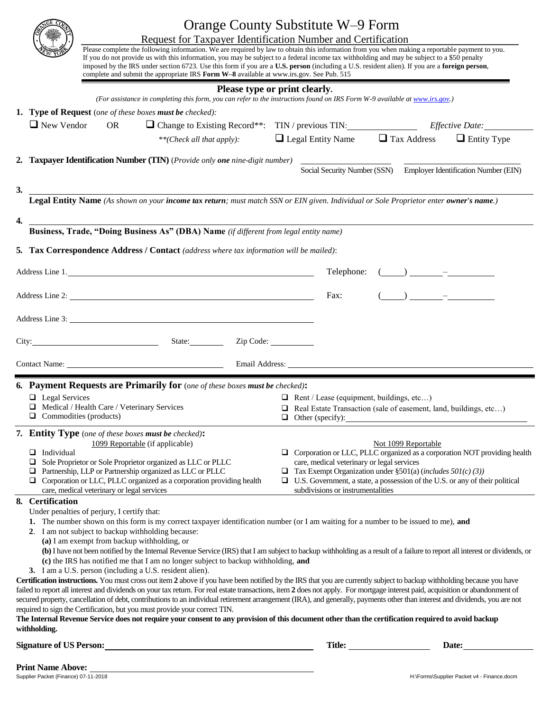| Orange County Substitute W-9 Form<br>Request for Taxpayer Identification Number and Certification                                                                                                                                                                                                                                                                                                                                                                                                                                         |                                                                                                                                                                |  |  |  |  |  |
|-------------------------------------------------------------------------------------------------------------------------------------------------------------------------------------------------------------------------------------------------------------------------------------------------------------------------------------------------------------------------------------------------------------------------------------------------------------------------------------------------------------------------------------------|----------------------------------------------------------------------------------------------------------------------------------------------------------------|--|--|--|--|--|
| Please complete the following information. We are required by law to obtain this information from you when making a reportable payment to you.<br>If you do not provide us with this information, you may be subject to a federal income tax withholding and may be subject to a \$50 penalty<br>imposed by the IRS under section 6723. Use this form if you are a U.S. person (including a U.S. resident alien). If you are a foreign person,<br>complete and submit the appropriate IRS Form W-8 available at www.irs.gov. See Pub. 515 |                                                                                                                                                                |  |  |  |  |  |
| Please type or print clearly.                                                                                                                                                                                                                                                                                                                                                                                                                                                                                                             |                                                                                                                                                                |  |  |  |  |  |
| (For assistance in completing this form, you can refer to the instructions found on IRS Form W-9 available at www.irs.gov.)                                                                                                                                                                                                                                                                                                                                                                                                               |                                                                                                                                                                |  |  |  |  |  |
| 1. Type of Request (one of these boxes must be checked):<br>$\Box$ New Vendor<br>OR <sub>2</sub>                                                                                                                                                                                                                                                                                                                                                                                                                                          |                                                                                                                                                                |  |  |  |  |  |
|                                                                                                                                                                                                                                                                                                                                                                                                                                                                                                                                           | □ Change to Existing Record**: TIN / previous TIN: Effective Date:<br>**(Check all that apply): $\Box$ Legal Entity Name $\Box$ Tax Address $\Box$ Entity Type |  |  |  |  |  |
|                                                                                                                                                                                                                                                                                                                                                                                                                                                                                                                                           |                                                                                                                                                                |  |  |  |  |  |
| 2. Taxpayer Identification Number (TIN) (Provide only one nine-digit number) _                                                                                                                                                                                                                                                                                                                                                                                                                                                            | Social Security Number (SSN) Employer Identification Number (EIN)                                                                                              |  |  |  |  |  |
| 3.<br>Legal Entity Name (As shown on your income tax return; must match SSN or EIN given. Individual or Sole Proprietor enter owner's name.)                                                                                                                                                                                                                                                                                                                                                                                              |                                                                                                                                                                |  |  |  |  |  |
|                                                                                                                                                                                                                                                                                                                                                                                                                                                                                                                                           |                                                                                                                                                                |  |  |  |  |  |
| 4.<br><b>Business, Trade, "Doing Business As" (DBA) Name</b> (if different from legal entity name)                                                                                                                                                                                                                                                                                                                                                                                                                                        |                                                                                                                                                                |  |  |  |  |  |
|                                                                                                                                                                                                                                                                                                                                                                                                                                                                                                                                           |                                                                                                                                                                |  |  |  |  |  |
| <b>5. Tax Correspondence Address / Contact</b> (address where tax information will be mailed):                                                                                                                                                                                                                                                                                                                                                                                                                                            |                                                                                                                                                                |  |  |  |  |  |
| Address Line 1.                                                                                                                                                                                                                                                                                                                                                                                                                                                                                                                           |                                                                                                                                                                |  |  |  |  |  |
| Address Line 2:                                                                                                                                                                                                                                                                                                                                                                                                                                                                                                                           | $\begin{pmatrix} 1 & 1 \\ 1 & 1 \end{pmatrix}$<br>Fax:                                                                                                         |  |  |  |  |  |
|                                                                                                                                                                                                                                                                                                                                                                                                                                                                                                                                           |                                                                                                                                                                |  |  |  |  |  |
|                                                                                                                                                                                                                                                                                                                                                                                                                                                                                                                                           |                                                                                                                                                                |  |  |  |  |  |
| City: City: City: City: City: City: City: City: City: City: City: City: City: City: City: City: City: City: City: City: City: City: City: City: City: City: City: City: City: City: City: City: City: City: City: City: City:                                                                                                                                                                                                                                                                                                             |                                                                                                                                                                |  |  |  |  |  |
| Contact Name: <u>Contact Name:</u> Email Address: <u>Contact Name: Contact Name: Contact Name: Contact Name: Contact Name: Contact Name: Contact Name: Contact Name: Contact Name: Contact Name: Contact Name: Contact Name: Contact </u>                                                                                                                                                                                                                                                                                                 |                                                                                                                                                                |  |  |  |  |  |
| <b>6. Payment Requests are Primarily for</b> (one of these boxes must be checked):                                                                                                                                                                                                                                                                                                                                                                                                                                                        |                                                                                                                                                                |  |  |  |  |  |
| $\Box$ Legal Services<br>$\Box$ Medical / Health Care / Veterinary Services                                                                                                                                                                                                                                                                                                                                                                                                                                                               | $\Box$ Rent / Lease (equipment, buildings, etc)                                                                                                                |  |  |  |  |  |
| $\Box$ Commodities (products)                                                                                                                                                                                                                                                                                                                                                                                                                                                                                                             | $\Box$ Real Estate Transaction (sale of easement, land, buildings, etc)                                                                                        |  |  |  |  |  |
| 7. Entity Type (one of these boxes must be checked):<br>1099 Reportable (if applicable)                                                                                                                                                                                                                                                                                                                                                                                                                                                   | Not 1099 Reportable                                                                                                                                            |  |  |  |  |  |
| $\Box$ Individual                                                                                                                                                                                                                                                                                                                                                                                                                                                                                                                         | Corporation or LLC, PLLC organized as a corporation NOT providing health                                                                                       |  |  |  |  |  |
| $\Box$<br>Sole Proprietor or Sole Proprietor organized as LLC or PLLC<br>Partnership, LLP or Partnership organized as LLC or PLLC<br>⊔                                                                                                                                                                                                                                                                                                                                                                                                    | care, medical veterinary or legal services<br>Tax Exempt Organization under §501(a) (includes $50I(c)$ (3))<br>$\Box$                                          |  |  |  |  |  |
| Corporation or LLC, PLLC organized as a corporation providing health<br>□                                                                                                                                                                                                                                                                                                                                                                                                                                                                 | $\Box$ U.S. Government, a state, a possession of the U.S. or any of their political                                                                            |  |  |  |  |  |
| care, medical veterinary or legal services<br>Certification<br>8.                                                                                                                                                                                                                                                                                                                                                                                                                                                                         | subdivisions or instrumentalities                                                                                                                              |  |  |  |  |  |
| Under penalties of perjury, I certify that:                                                                                                                                                                                                                                                                                                                                                                                                                                                                                               |                                                                                                                                                                |  |  |  |  |  |
| 1. The number shown on this form is my correct taxpayer identification number (or I am waiting for a number to be issued to me), and<br>2. I am not subject to backup withholding because:                                                                                                                                                                                                                                                                                                                                                |                                                                                                                                                                |  |  |  |  |  |
| (a) I am exempt from backup withholding, or                                                                                                                                                                                                                                                                                                                                                                                                                                                                                               |                                                                                                                                                                |  |  |  |  |  |
| (b) I have not been notified by the Internal Revenue Service (IRS) that I am subject to backup withholding as a result of a failure to report all interest or dividends, or                                                                                                                                                                                                                                                                                                                                                               |                                                                                                                                                                |  |  |  |  |  |
| (c) the IRS has notified me that I am no longer subject to backup withholding, and<br>3. I am a U.S. person (including a U.S. resident alien).                                                                                                                                                                                                                                                                                                                                                                                            |                                                                                                                                                                |  |  |  |  |  |
| Certification instructions. You must cross out item 2 above if you have been notified by the IRS that you are currently subject to backup withholding because you have                                                                                                                                                                                                                                                                                                                                                                    |                                                                                                                                                                |  |  |  |  |  |
| failed to report all interest and dividends on your tax return. For real estate transactions, item 2 does not apply. For mortgage interest paid, acquisition or abandonment of<br>secured property, cancellation of debt, contributions to an individual retirement arrangement (IRA), and generally, payments other than interest and dividends, you are not                                                                                                                                                                             |                                                                                                                                                                |  |  |  |  |  |
| required to sign the Certification, but you must provide your correct TIN.                                                                                                                                                                                                                                                                                                                                                                                                                                                                |                                                                                                                                                                |  |  |  |  |  |
| The Internal Revenue Service does not require your consent to any provision of this document other than the certification required to avoid backup<br>withholding.                                                                                                                                                                                                                                                                                                                                                                        |                                                                                                                                                                |  |  |  |  |  |
| Signature of US Person: Note that the set of US Person:                                                                                                                                                                                                                                                                                                                                                                                                                                                                                   | Date:                                                                                                                                                          |  |  |  |  |  |
|                                                                                                                                                                                                                                                                                                                                                                                                                                                                                                                                           |                                                                                                                                                                |  |  |  |  |  |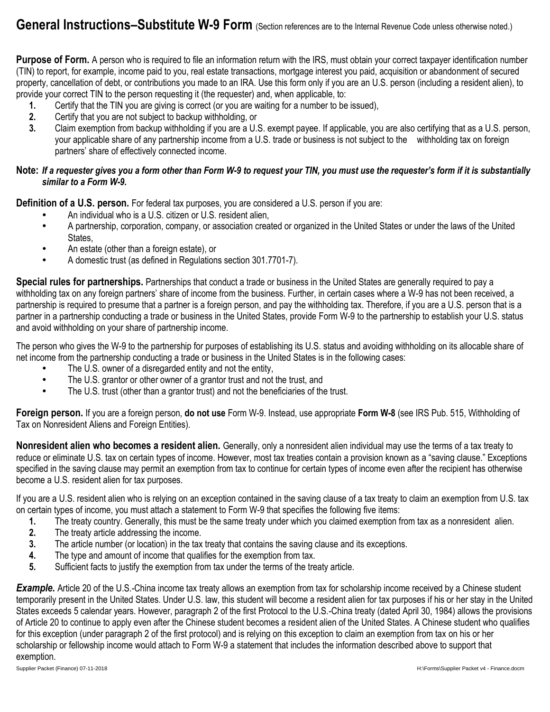## **General Instructions-Substitute W-9 Form** (Section references are to the Internal Revenue Code unless otherwise noted.)

**Purpose of Form.** A person who is required to file an information return with the IRS, must obtain your correct taxpayer identification number (TIN) to report, for example, income paid to you, real estate transactions, mortgage interest you paid, acquisition or abandonment of secured property, cancellation of debt, or contributions you made to an IRA. Use this form only if you are an U.S. person (including a resident alien), to provide your correct TIN to the person requesting it (the requester) and, when applicable, to:

- **1.** Certify that the TIN you are giving is correct (or you are waiting for a number to be issued),
- **2.** Certify that you are not subject to backup withholding, or
- **3.** Claim exemption from backup withholding if you are a U.S. exempt payee. If applicable, you are also certifying that as a U.S. person, your applicable share of any partnership income from a U.S. trade or business is not subject to the withholding tax on foreign partners' share of effectively connected income.

#### **Note:** *If a requester gives you a form other than Form W-9 to request your TIN, you must use the requester's form if it is substantially similar to a Form W-9.*

**Definition of a U.S. person.** For federal tax purposes, you are considered a U.S. person if you are:

- An individual who is a U.S. citizen or U.S. resident alien,
- A partnership, corporation, company, or association created or organized in the United States or under the laws of the United States,
- An estate (other than a foreign estate), or
- A domestic trust (as defined in Regulations section 301.7701-7).

**Special rules for partnerships.** Partnerships that conduct a trade or business in the United States are generally required to pay a withholding tax on any foreign partners' share of income from the business. Further, in certain cases where a W-9 has not been received, a partnership is required to presume that a partner is a foreign person, and pay the withholding tax. Therefore, if you are a U.S. person that is a partner in a partnership conducting a trade or business in the United States, provide Form W-9 to the partnership to establish your U.S. status and avoid withholding on your share of partnership income.

The person who gives the W-9 to the partnership for purposes of establishing its U.S. status and avoiding withholding on its allocable share of net income from the partnership conducting a trade or business in the United States is in the following cases:

- The U.S. owner of a disregarded entity and not the entity,
- The U.S. grantor or other owner of a grantor trust and not the trust, and
- The U.S. trust (other than a grantor trust) and not the beneficiaries of the trust.

**Foreign person.** If you are a foreign person, **do not use** Form W-9. Instead, use appropriate **Form W-8** (see IRS Pub. 515, Withholding of Tax on Nonresident Aliens and Foreign Entities).

**Nonresident alien who becomes a resident alien.** Generally, only a nonresident alien individual may use the terms of a tax treaty to reduce or eliminate U.S. tax on certain types of income. However, most tax treaties contain a provision known as a "saving clause." Exceptions specified in the saving clause may permit an exemption from tax to continue for certain types of income even after the recipient has otherwise become a U.S. resident alien for tax purposes.

If you are a U.S. resident alien who is relying on an exception contained in the saving clause of a tax treaty to claim an exemption from U.S. tax on certain types of income, you must attach a statement to Form W-9 that specifies the following five items:

- **1.** The treaty country. Generally, this must be the same treaty under which you claimed exemption from tax as a nonresident alien.
- **2.** The treaty article addressing the income.
- **3.** The article number (or location) in the tax treaty that contains the saving clause and its exceptions.
- **4.** The type and amount of income that qualifies for the exemption from tax.
- **5.** Sufficient facts to justify the exemption from tax under the terms of the treaty article.

**Example.** Article 20 of the U.S.-China income tax treaty allows an exemption from tax for scholarship income received by a Chinese student temporarily present in the United States. Under U.S. law, this student will become a resident alien for tax purposes if his or her stay in the United States exceeds 5 calendar years. However, paragraph 2 of the first Protocol to the U.S.-China treaty (dated April 30, 1984) allows the provisions of Article 20 to continue to apply even after the Chinese student becomes a resident alien of the United States. A Chinese student who qualifies for this exception (under paragraph 2 of the first protocol) and is relying on this exception to claim an exemption from tax on his or her scholarship or fellowship income would attach to Form W-9 a statement that includes the information described above to support that exemption.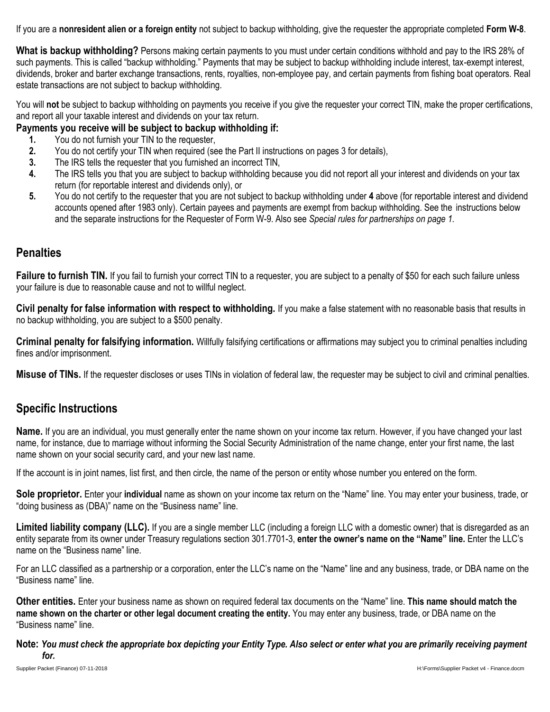If you are a **nonresident alien or a foreign entity** not subject to backup withholding, give the requester the appropriate completed **Form W-8**.

**What is backup withholding?** Persons making certain payments to you must under certain conditions withhold and pay to the IRS 28% of such payments. This is called "backup withholding." Payments that may be subject to backup withholding include interest, tax-exempt interest, dividends, broker and barter exchange transactions, rents, royalties, non-employee pay, and certain payments from fishing boat operators. Real estate transactions are not subject to backup withholding.

You will **not** be subject to backup withholding on payments you receive if you give the requester your correct TIN, make the proper certifications, and report all your taxable interest and dividends on your tax return.

#### **Payments you receive will be subject to backup withholding if:**

- **1.** You do not furnish your TIN to the requester,
- **2.** You do not certify your TIN when required (see the Part II instructions on pages 3 for details),
- **3.** The IRS tells the requester that you furnished an incorrect TIN,
- **4.** The IRS tells you that you are subject to backup withholding because you did not report all your interest and dividends on your tax return (for reportable interest and dividends only), or
- **5.** You do not certify to the requester that you are not subject to backup withholding under **4** above (for reportable interest and dividend accounts opened after 1983 only). Certain payees and payments are exempt from backup withholding. See the instructions below and the separate instructions for the Requester of Form W-9. Also see *Special rules for partnerships on page 1.*

### **Penalties**

**Failure to furnish TIN.** If you fail to furnish your correct TIN to a requester, you are subject to a penalty of \$50 for each such failure unless your failure is due to reasonable cause and not to willful neglect.

**Civil penalty for false information with respect to withholding.** If you make a false statement with no reasonable basis that results in no backup withholding, you are subject to a \$500 penalty.

**Criminal penalty for falsifying information.** Willfully falsifying certifications or affirmations may subject you to criminal penalties including fines and/or imprisonment.

**Misuse of TINs.** If the requester discloses or uses TINs in violation of federal law, the requester may be subject to civil and criminal penalties.

## **Specific Instructions**

**Name.** If you are an individual, you must generally enter the name shown on your income tax return. However, if you have changed your last name, for instance, due to marriage without informing the Social Security Administration of the name change, enter your first name, the last name shown on your social security card, and your new last name.

If the account is in joint names, list first, and then circle, the name of the person or entity whose number you entered on the form.

Sole proprietor. Enter your individual name as shown on your income tax return on the "Name" line. You may enter your business, trade, or "doing business as (DBA)" name on the "Business name" line.

Limited liability company (LLC). If you are a single member LLC (including a foreign LLC with a domestic owner) that is disregarded as an entity separate from its owner under Treasury regulations section 301.7701-3, **enter the owner's name on the "Name" line.** Enter the LLC's name on the "Business name" line.

For an LLC classified as a partnership or a corporation, enter the LLC's name on the "Name" line and any business, trade, or DBA name on the "Business name" line.

**Other entities.** Enter your business name as shown on required federal tax documents on the "Name" line. **This name should match the name shown on the charter or other legal document creating the entity.** You may enter any business, trade, or DBA name on the "Business name" line.

#### **Note:** *You must check the appropriate box depicting your Entity Type. Also select or enter what you are primarily receiving payment for.*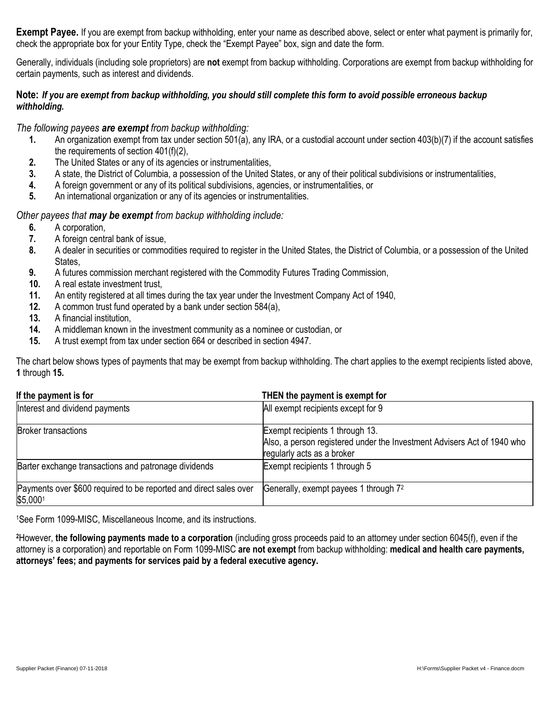**Exempt Payee.** If you are exempt from backup withholding, enter your name as described above, select or enter what payment is primarily for, check the appropriate box for your Entity Type, check the "Exempt Payee" box, sign and date the form.

Generally, individuals (including sole proprietors) are **not** exempt from backup withholding. Corporations are exempt from backup withholding for certain payments, such as interest and dividends.

#### **Note:** *If you are exempt from backup withholding, you should still complete this form to avoid possible erroneous backup withholding.*

#### *The following payees are exempt from backup withholding:*

- **1.** An organization exempt from tax under section 501(a), any IRA, or a custodial account under section 403(b)(7) if the account satisfies the requirements of section 401(f)(2),
- **2.** The United States or any of its agencies or instrumentalities,
- **3.** A state, the District of Columbia, a possession of the United States, or any of their political subdivisions or instrumentalities,
- **4.** A foreign government or any of its political subdivisions, agencies, or instrumentalities, or
- **5.** An international organization or any of its agencies or instrumentalities.

#### *Other payees that may be exempt from backup withholding include:*

- **6.** A corporation,
- **7.** A foreign central bank of issue,
- **8.** A dealer in securities or commodities required to register in the United States, the District of Columbia, or a possession of the United States,
- **9.** A futures commission merchant registered with the Commodity Futures Trading Commission,
- **10.** A real estate investment trust,
- **11.** An entity registered at all times during the tax year under the Investment Company Act of 1940,
- **12.** A common trust fund operated by a bank under section 584(a),
- **13.** A financial institution,
- **14.** A middleman known in the investment community as a nominee or custodian, or
- **15.** A trust exempt from tax under section 664 or described in section 4947.

The chart below shows types of payments that may be exempt from backup withholding. The chart applies to the exempt recipients listed above, **1** through **15.**

| If the payment is for                                                         | THEN the payment is exempt for                                                                                                           |
|-------------------------------------------------------------------------------|------------------------------------------------------------------------------------------------------------------------------------------|
| Interest and dividend payments                                                | All exempt recipients except for 9                                                                                                       |
| <b>Broker transactions</b>                                                    | Exempt recipients 1 through 13.<br>Also, a person registered under the Investment Advisers Act of 1940 who<br>regularly acts as a broker |
| Barter exchange transactions and patronage dividends                          | Exempt recipients 1 through 5                                                                                                            |
| Payments over \$600 required to be reported and direct sales over<br>\$5,0001 | Generally, exempt payees 1 through 7 <sup>2</sup>                                                                                        |

<sup>1</sup>See Form 1099-MISC, Miscellaneous Income, and its instructions.

**<sup>2</sup>**However, **the following payments made to a corporation** (including gross proceeds paid to an attorney under section 6045(f), even if the attorney is a corporation) and reportable on Form 1099-MISC **are not exempt** from backup withholding: **medical and health care payments, attorneys' fees; and payments for services paid by a federal executive agency.**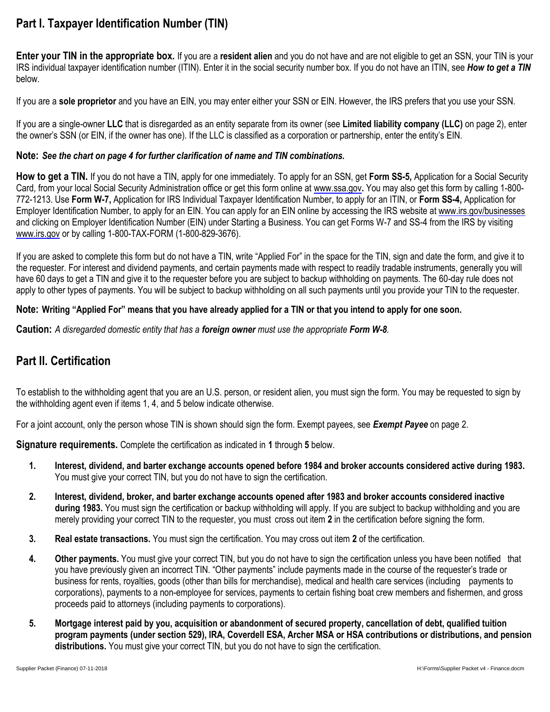## **Part I. Taxpayer Identification Number (TIN)**

**Enter your TIN in the appropriate box.** If you are a **resident alien** and you do not have and are not eligible to get an SSN, your TIN is your IRS individual taxpayer identification number (ITIN). Enter it in the social security number box. If you do not have an ITIN, see *How to get a TIN* below.

If you are a **sole proprietor** and you have an EIN, you may enter either your SSN or EIN. However, the IRS prefers that you use your SSN.

If you are a single-owner **LLC** that is disregarded as an entity separate from its owner (see **Limited liability company (LLC)** on page 2), enter the owner's SSN (or EIN, if the owner has one). If the LLC is classified as a corporation or partnership, enter the entity's EIN.

#### **Note:** *See the chart on page 4 for further clarification of name and TIN combinations.*

**How to get a TIN.** If you do not have a TIN, apply for one immediately. To apply for an SSN, get **Form SS-5,** Application for a Social Security Card, from your local Social Security Administration office or get this form online at www.ssa.gov**.** You may also get this form by calling 1-800- 772-1213. Use **Form W-7,** Application for IRS Individual Taxpayer Identification Number, to apply for an ITIN, or **Form SS-4,** Application for Employer Identification Number, to apply for an EIN. You can apply for an EIN online by accessing the IRS website at www.irs.gov/businesses and clicking on Employer Identification Number (EIN) under Starting a Business. You can get Forms W-7 and SS-4 from the IRS by visiting www.irs.gov or by calling 1-800-TAX-FORM (1-800-829-3676).

If you are asked to complete this form but do not have a TIN, write "Applied For" in the space for the TIN, sign and date the form, and give it to the requester. For interest and dividend payments, and certain payments made with respect to readily tradable instruments, generally you will have 60 days to get a TIN and give it to the requester before you are subject to backup withholding on payments. The 60-day rule does not apply to other types of payments. You will be subject to backup withholding on all such payments until you provide your TIN to the requester.

#### **Note: Writing "Applied For" means that you have already applied for a TIN or that you intend to apply for one soon.**

**Caution:** *A disregarded domestic entity that has a foreign owner must use the appropriate Form W-8.* 

## **Part II. Certification**

To establish to the withholding agent that you are an U.S. person, or resident alien, you must sign the form. You may be requested to sign by the withholding agent even if items 1, 4, and 5 below indicate otherwise.

For a joint account, only the person whose TIN is shown should sign the form. Exempt payees, see *Exempt Payee* on page 2.

**Signature requirements.** Complete the certification as indicated in **1** through **5** below.

- **1. Interest, dividend, and barter exchange accounts opened before 1984 and broker accounts considered active during 1983.**  You must give your correct TIN, but you do not have to sign the certification.
- **2. Interest, dividend, broker, and barter exchange accounts opened after 1983 and broker accounts considered inactive during 1983.** You must sign the certification or backup withholding will apply. If you are subject to backup withholding and you are merely providing your correct TIN to the requester, you must cross out item **2** in the certification before signing the form.
- **3. Real estate transactions.** You must sign the certification. You may cross out item **2** of the certification.
- **4. Other payments.** You must give your correct TIN, but you do not have to sign the certification unless you have been notified that you have previously given an incorrect TIN. "Other payments" include payments made in the course of the requester's trade or business for rents, royalties, goods (other than bills for merchandise), medical and health care services (including payments to corporations), payments to a non-employee for services, payments to certain fishing boat crew members and fishermen, and gross proceeds paid to attorneys (including payments to corporations).
- **5. Mortgage interest paid by you, acquisition or abandonment of secured property, cancellation of debt, qualified tuition program payments (under section 529), IRA, Coverdell ESA, Archer MSA or HSA contributions or distributions, and pension distributions.** You must give your correct TIN, but you do not have to sign the certification.